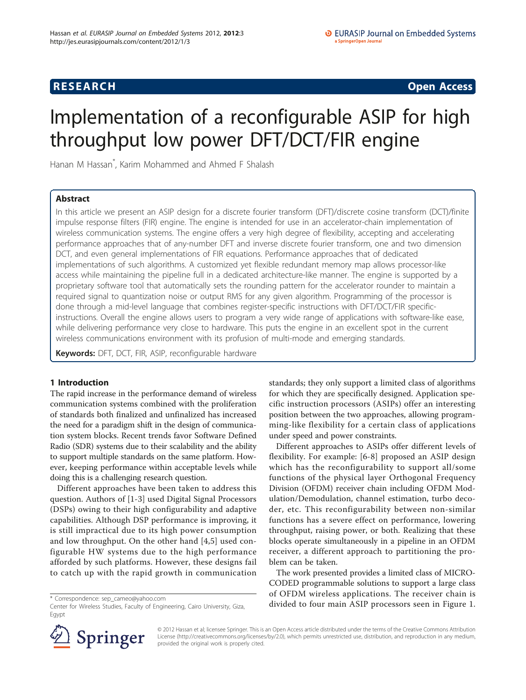**RESEARCH CONSTRUCTION CONSTRUCTS** 

# Implementation of a reconfigurable ASIP for high throughput low power DFT/DCT/FIR engine

Hanan M Hassan\* , Karim Mohammed and Ahmed F Shalash

# Abstract

In this article we present an ASIP design for a discrete fourier transform (DFT)/discrete cosine transform (DCT)/finite impulse response filters (FIR) engine. The engine is intended for use in an accelerator-chain implementation of wireless communication systems. The engine offers a very high degree of flexibility, accepting and accelerating performance approaches that of any-number DFT and inverse discrete fourier transform, one and two dimension DCT, and even general implementations of FIR equations. Performance approaches that of dedicated implementations of such algorithms. A customized yet flexible redundant memory map allows processor-like access while maintaining the pipeline full in a dedicated architecture-like manner. The engine is supported by a proprietary software tool that automatically sets the rounding pattern for the accelerator rounder to maintain a required signal to quantization noise or output RMS for any given algorithm. Programming of the processor is done through a mid-level language that combines register-specific instructions with DFT/DCT/FIR specificinstructions. Overall the engine allows users to program a very wide range of applications with software-like ease, while delivering performance very close to hardware. This puts the engine in an excellent spot in the current wireless communications environment with its profusion of multi-mode and emerging standards.

Keywords: DFT, DCT, FIR, ASIP, reconfigurable hardware

#### 1 Introduction

The rapid increase in the performance demand of wireless communication systems combined with the proliferation of standards both finalized and unfinalized has increased the need for a paradigm shift in the design of communication system blocks. Recent trends favor Software Defined Radio (SDR) systems due to their scalability and the ability to support multiple standards on the same platform. However, keeping performance within acceptable levels while doing this is a challenging research question.

Different approaches have been taken to address this question. Authors of [[1-3](#page-16-0)] used Digital Signal Processors (DSPs) owing to their high configurability and adaptive capabilities. Although DSP performance is improving, it is still impractical due to its high power consumption and low throughput. On the other hand [[4,5](#page-17-0)] used configurable HW systems due to the high performance afforded by such platforms. However, these designs fail to catch up with the rapid growth in communication

standards; they only support a limited class of algorithms for which they are specifically designed. Application specific instruction processors (ASIPs) offer an interesting position between the two approaches, allowing programming-like flexibility for a certain class of applications under speed and power constraints.

Different approaches to ASIPs offer different levels of flexibility. For example: [[6](#page-17-0)-[8\]](#page-17-0) proposed an ASIP design which has the reconfigurability to support all/some functions of the physical layer Orthogonal Frequency Division (OFDM) receiver chain including OFDM Modulation/Demodulation, channel estimation, turbo decoder, etc. This reconfigurability between non-similar functions has a severe effect on performance, lowering throughput, raising power, or both. Realizing that these blocks operate simultaneously in a pipeline in an OFDM receiver, a different approach to partitioning the problem can be taken.

The work presented provides a limited class of MICRO-CODED programmable solutions to support a large class of OFDM wireless applications. The receiver chain is divided to four main ASIP processors seen in Figure [1](#page-1-0). \* Correspondence: [sep\\_cameo@yahoo.com](mailto:sep_cameo@yahoo.com)



© 2012 Hassan et al; licensee Springer. This is an Open Access article distributed under the terms of the Creative Commons Attribution License [\(http://creativecommons.org/licenses/by/2.0](http://creativecommons.org/licenses/by/2.0)), which permits unrestricted use, distribution, and reproduction in any medium, provided the original work is properly cited.

Center for Wireless Studies, Faculty of Engineering, Cairo University, Giza, Egypt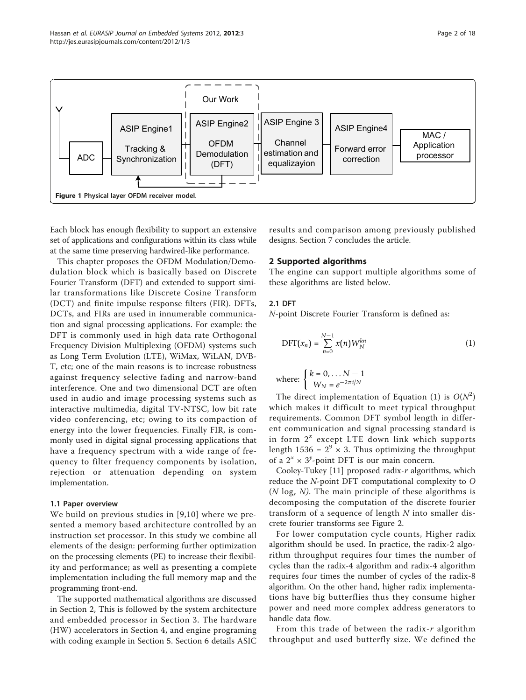<span id="page-1-0"></span>

Each block has enough flexibility to support an extensive set of applications and configurations within its class while at the same time preserving hardwired-like performance.

This chapter proposes the OFDM Modulation/Demodulation block which is basically based on Discrete Fourier Transform (DFT) and extended to support similar transformations like Discrete Cosine Transform (DCT) and finite impulse response filters (FIR). DFTs, DCTs, and FIRs are used in innumerable communication and signal processing applications. For example: the DFT is commonly used in high data rate Orthogonal Frequency Division Multiplexing (OFDM) systems such as Long Term Evolution (LTE), WiMax, WiLAN, DVB-T, etc; one of the main reasons is to increase robustness against frequency selective fading and narrow-band interference. One and two dimensional DCT are often used in audio and image processing systems such as interactive multimedia, digital TV-NTSC, low bit rate video conferencing, etc; owing to its compaction of energy into the lower frequencies. Finally FIR, is commonly used in digital signal processing applications that have a frequency spectrum with a wide range of frequency to filter frequency components by isolation, rejection or attenuation depending on system implementation.

#### 1.1 Paper overview

We build on previous studies in [[9,10\]](#page-17-0) where we presented a memory based architecture controlled by an instruction set processor. In this study we combine all elements of the design: performing further optimization on the processing elements (PE) to increase their flexibility and performance; as well as presenting a complete implementation including the full memory map and the programming front-end.

The supported mathematical algorithms are discussed in Section 2, This is followed by the system architecture and embedded processor in Section 3. The hardware (HW) accelerators in Section 4, and engine programing with coding example in Section 5. Section 6 details ASIC results and comparison among previously published designs. Section 7 concludes the article.

#### 2 Supported algorithms

The engine can support multiple algorithms some of these algorithms are listed below.

#### 2.1 DFT

N-point Discrete Fourier Transform is defined as:

$$
DFT(x_n) = \sum_{n=0}^{N-1} x(n)W_N^{kn}
$$
 (1)

where: 
$$
\begin{cases} k = 0, \dots N - 1 \\ W_N = e^{-2\pi i/N} \end{cases}
$$

The direct implementation of Equation (1) is  $O(N^2)$ which makes it difficult to meet typical throughput requirements. Common DFT symbol length in different communication and signal processing standard is in form  $2^x$  except LTE down link which supports length 1536 =  $2^9 \times 3$ . Thus optimizing the throughput of a  $2^x \times 3^y$ -point DFT is our main concern.

Cooley-Tukey  $[11]$  $[11]$  $[11]$  proposed radix-r algorithms, which reduce the N-point DFT computational complexity to O (N  $log<sub>r</sub>$  N). The main principle of these algorithms is decomposing the computation of the discrete fourier transform of a sequence of length  $N$  into smaller discrete fourier transforms see Figure [2](#page-2-0).

For lower computation cycle counts, Higher radix algorithm should be used. In practice, the radix-2 algorithm throughput requires four times the number of cycles than the radix-4 algorithm and radix-4 algorithm requires four times the number of cycles of the radix-8 algorithm. On the other hand, higher radix implementations have big butterflies thus they consume higher power and need more complex address generators to handle data flow.

From this trade of between the radix-r algorithm throughput and used butterfly size. We defined the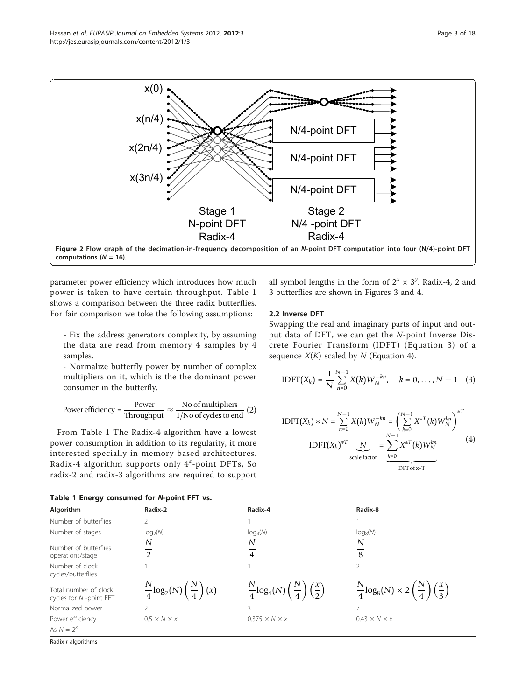<span id="page-2-0"></span>

parameter power efficiency which introduces how much power is taken to have certain throughput. Table 1 shows a comparison between the three radix butterflies. For fair comparison we toke the following assumptions:

- Fix the address generators complexity, by assuming the data are read from memory 4 samples by 4 samples.

- Normalize butterfly power by number of complex multipliers on it, which is the the dominant power consumer in the butterfly.

Power efficiency = 
$$
\frac{\text{Power}}{\text{Throughout}} \approx \frac{\text{No of multipliers}}{1/\text{No of cycles to end}} (2)
$$

From Table 1 The Radix-4 algorithm have a lowest power consumption in addition to its regularity, it more interested specially in memory based architectures. Radix-4 algorithm supports only 4<sup>z</sup> -point DFTs, So radix-2 and radix-3 algorithms are required to support

|  |  | Table 1 Energy consumed for N-point FFT vs. |  |  |  |  |
|--|--|---------------------------------------------|--|--|--|--|
|--|--|---------------------------------------------|--|--|--|--|

all symbol lengths in the form of  $2^x \times 3^y$ . Radix-4, 2 and 3 butterflies are shown in Figures [3](#page-3-0) and [4](#page-3-0).

#### 2.2 Inverse DFT

Swapping the real and imaginary parts of input and output data of DFT, we can get the N-point Inverse Discrete Fourier Transform (IDFT) (Equation 3) of a sequence  $X(K)$  scaled by N (Equation 4).

$$
\text{IDFT}(X_k) = \frac{1}{N} \sum_{n=0}^{N-1} X(k) W_N^{-kn}, \quad k = 0, \ldots, N-1 \quad (3)
$$

$$
IDFT(X_k) * N = \sum_{n=0}^{N-1} X(k) W_N^{-kn} = \left( \sum_{k=0}^{N-1} X^{*T}(k) W_N^{kn} \right)^{*T}
$$
  

$$
IDFT(X_k)^{*T} \underbrace{N}_{\text{scale factor}} = \underbrace{\sum_{k=0}^{N-1} X^{*T}(k) W_N^{kn}}_{DFT of x * T}
$$
(4)

| Radix-2                                                          | Radix-4                                                                               | Radix-8                                                                                   |
|------------------------------------------------------------------|---------------------------------------------------------------------------------------|-------------------------------------------------------------------------------------------|
|                                                                  |                                                                                       |                                                                                           |
| log <sub>2</sub> (N)                                             | log <sub>4</sub> (N)                                                                  | $log_8(N)$                                                                                |
| N<br>$\overline{2}$                                              | N<br>$\overline{4}$                                                                   | N<br>8                                                                                    |
|                                                                  |                                                                                       | $\overline{2}$                                                                            |
| $\frac{N}{4}$ log <sub>2</sub> (N) $\left(\frac{N}{4}\right)(x)$ | $\frac{N}{4}$ log <sub>4</sub> (N) $\left(\frac{N}{4}\right)\left(\frac{x}{2}\right)$ | $\frac{N}{4}$ log <sub>8</sub> (N) × 2 $\left(\frac{N}{4}\right)\left(\frac{x}{3}\right)$ |
|                                                                  | 3                                                                                     |                                                                                           |
| $0.5 \times N \times X$                                          | $0.375 \times N \times X$                                                             | $0.43 \times N \times X$                                                                  |
|                                                                  |                                                                                       |                                                                                           |
|                                                                  |                                                                                       |                                                                                           |

Radix-r algorithms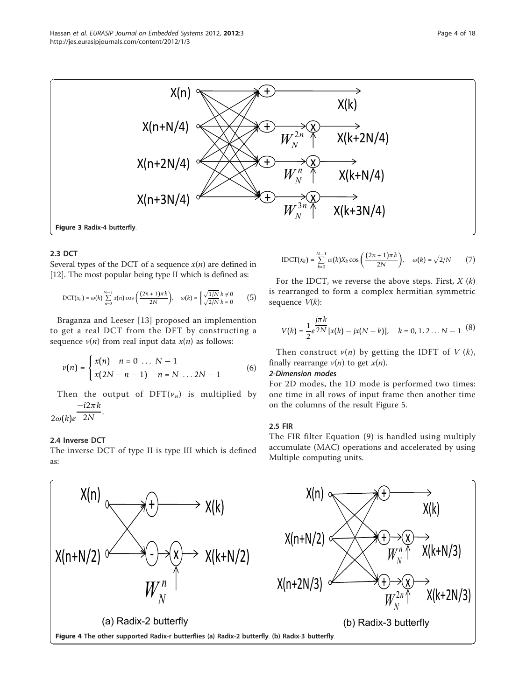<span id="page-3-0"></span>

#### 2.3 DCT

Several types of the DCT of a sequence  $x(n)$  are defined in [[12](#page-17-0)]. The most popular being type II which is defined as:

$$
\text{DCT}(x_n) = \omega(k) \sum_{n=0}^{N-1} x(n) \cos\left(\frac{(2n+1)\pi k}{2N}\right), \quad \omega(k) = \begin{cases} \sqrt{1/N} \; k \neq 0\\ \sqrt{2/N} \; k = 0 \end{cases} \tag{5}
$$

Braganza and Leeser [[13](#page-17-0)] proposed an implemention to get a real DCT from the DFT by constructing a sequence  $v(n)$  from real input data  $x(n)$  as follows:

$$
v(n) = \begin{cases} x(n) & n = 0 \dots N-1 \\ x(2N-n-1) & n = N \dots 2N-1 \end{cases}
$$
 (6)

Then the output of  $DFT(v_n)$  is multiplied by −*i*2π*k*

 $2\omega(k)e^{\sqrt{2N}}$ .

#### 2.4 Inverse DCT

The inverse DCT of type II is type III which is defined as:

$$
\text{IDCT}(x_k) = \sum_{k=0}^{N-1} \omega(k) X_k \cos\left(\frac{(2n+1)\pi k}{2N}\right), \quad \omega(k) = \sqrt{2/N} \tag{7}
$$

For the IDCT, we reverse the above steps. First,  $X(k)$ is rearranged to form a complex hermitian symmetric sequence  $V(k)$ :

$$
V(k) = \frac{1}{2}e^{\frac{j\pi k}{2N}}[x(k) - jx(N-k)], \quad k = 0, 1, 2...N - 1
$$
 (8)

Then construct  $v(n)$  by getting the IDFT of  $V(k)$ , finally rearrange  $v(n)$  to get  $x(n)$ .

#### 2-Dimension modes

For 2D modes, the 1D mode is performed two times: one time in all rows of input frame then another time on the columns of the result Figure [5](#page-4-0).

# 2.5 FIR

The FIR filter Equation (9) is handled using multiply accumulate (MAC) operations and accelerated by using Multiple computing units.

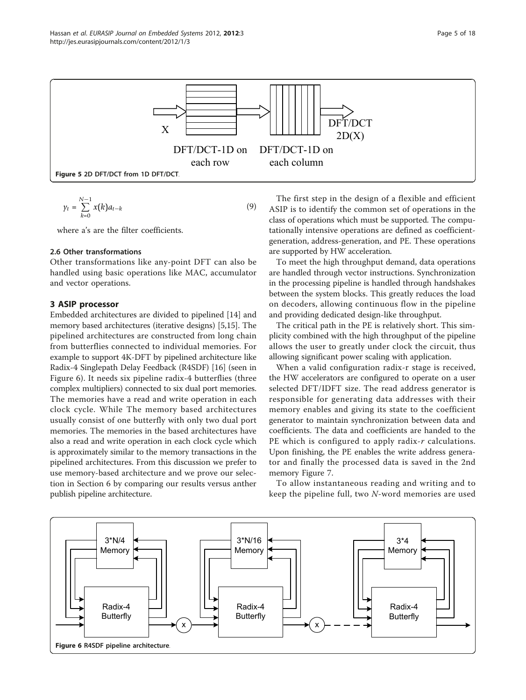<span id="page-4-0"></span>

$$
\gamma_t = \sum_{k=0}^{N-1} x(k) a_{t-k} \tag{9}
$$

where a's are the filter coefficients.

#### 2.6 Other transformations

Other transformations like any-point DFT can also be handled using basic operations like MAC, accumulator and vector operations.

#### 3 ASIP processor

Embedded architectures are divided to pipelined [[14\]](#page-17-0) and memory based architectures (iterative designs) [[5,15](#page-17-0)]. The pipelined architectures are constructed from long chain from butterflies connected to individual memories. For example to support 4K-DFT by pipelined architecture like Radix-4 Singlepath Delay Feedback (R4SDF) [[16\]](#page-17-0) (seen in Figure 6). It needs six pipeline radix-4 butterflies (three complex multipliers) connected to six dual port memories. The memories have a read and write operation in each clock cycle. While The memory based architectures usually consist of one butterfly with only two dual port memories. The memories in the based architectures have also a read and write operation in each clock cycle which is approximately similar to the memory transactions in the pipelined architectures. From this discussion we prefer to use memory-based architecture and we prove our selection in Section 6 by comparing our results versus anther publish pipeline architecture.

The first step in the design of a flexible and efficient ASIP is to identify the common set of operations in the class of operations which must be supported. The computationally intensive operations are defined as coefficientgeneration, address-generation, and PE. These operations are supported by HW acceleration.

To meet the high throughput demand, data operations are handled through vector instructions. Synchronization in the processing pipeline is handled through handshakes between the system blocks. This greatly reduces the load on decoders, allowing continuous flow in the pipeline and providing dedicated design-like throughput.

The critical path in the PE is relatively short. This simplicity combined with the high throughput of the pipeline allows the user to greatly under clock the circuit, thus allowing significant power scaling with application.

When a valid configuration radix-r stage is received, the HW accelerators are configured to operate on a user selected DFT/IDFT size. The read address generator is responsible for generating data addresses with their memory enables and giving its state to the coefficient generator to maintain synchronization between data and coefficients. The data and coefficients are handed to the PE which is configured to apply radix- $r$  calculations. Upon finishing, the PE enables the write address generator and finally the processed data is saved in the 2nd memory Figure [7](#page-5-0).

To allow instantaneous reading and writing and to keep the pipeline full, two N-word memories are used

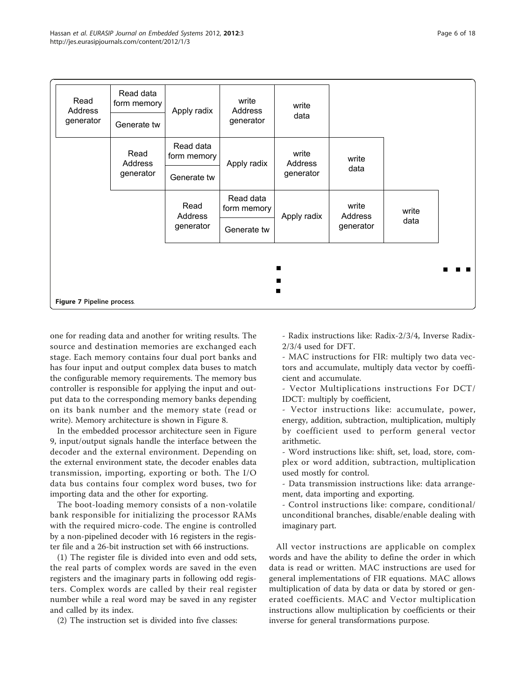<span id="page-5-0"></span>

| Read<br>Address            | Read data<br>form memory | write<br>Apply radix<br>Address |                          | write            |                  |       |  |
|----------------------------|--------------------------|---------------------------------|--------------------------|------------------|------------------|-------|--|
| generator                  | Generate tw              |                                 | generator                | data             |                  |       |  |
|                            | Read<br>Address          | Read data<br>form memory        | Apply radix              | write<br>Address | write            |       |  |
|                            | generator                |                                 | Generate tw              |                  | data             |       |  |
|                            |                          | Read<br>Address                 | Read data<br>form memory | Apply radix      | write<br>Address | write |  |
|                            |                          | generator                       | Generate tw              |                  | generator        | data  |  |
|                            |                          |                                 |                          |                  |                  |       |  |
|                            |                          |                                 |                          | П<br>П<br>Ш      |                  |       |  |
| Figure 7 Pipeline process. |                          |                                 |                          |                  |                  |       |  |

one for reading data and another for writing results. The source and destination memories are exchanged each stage. Each memory contains four dual port banks and has four input and output complex data buses to match the configurable memory requirements. The memory bus controller is responsible for applying the input and output data to the corresponding memory banks depending on its bank number and the memory state (read or write). Memory architecture is shown in Figure [8](#page-6-0).

In the embedded processor architecture seen in Figure [9,](#page-7-0) input/output signals handle the interface between the decoder and the external environment. Depending on the external environment state, the decoder enables data transmission, importing, exporting or both. The I/O data bus contains four complex word buses, two for importing data and the other for exporting.

The boot-loading memory consists of a non-volatile bank responsible for initializing the processor RAMs with the required micro-code. The engine is controlled by a non-pipelined decoder with 16 registers in the register file and a 26-bit instruction set with 66 instructions.

(1) The register file is divided into even and odd sets, the real parts of complex words are saved in the even registers and the imaginary parts in following odd registers. Complex words are called by their real register number while a real word may be saved in any register and called by its index.

(2) The instruction set is divided into five classes:

- Radix instructions like: Radix-2/3/4, Inverse Radix-2/3/4 used for DFT.

- MAC instructions for FIR: multiply two data vectors and accumulate, multiply data vector by coefficient and accumulate.

- Vector Multiplications instructions For DCT/ IDCT: multiply by coefficient,

- Vector instructions like: accumulate, power, energy, addition, subtraction, multiplication, multiply by coefficient used to perform general vector arithmetic.

- Word instructions like: shift, set, load, store, complex or word addition, subtraction, multiplication used mostly for control.

- Data transmission instructions like: data arrangement, data importing and exporting.

- Control instructions like: compare, conditional/ unconditional branches, disable/enable dealing with imaginary part.

All vector instructions are applicable on complex words and have the ability to define the order in which data is read or written. MAC instructions are used for general implementations of FIR equations. MAC allows multiplication of data by data or data by stored or generated coefficients. MAC and Vector multiplication instructions allow multiplication by coefficients or their inverse for general transformations purpose.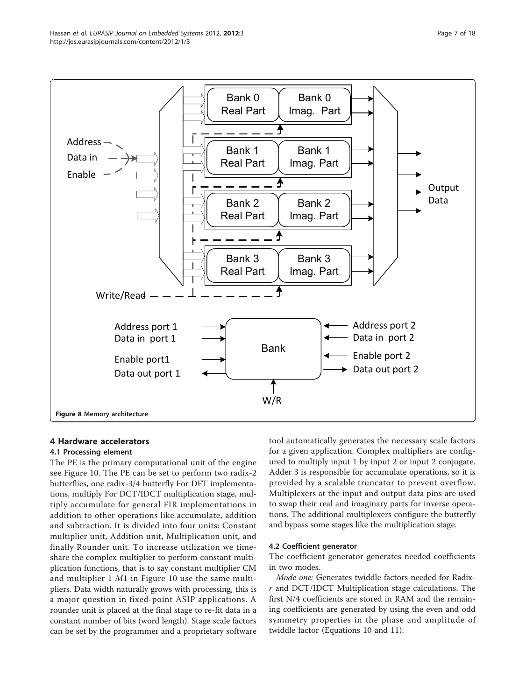<span id="page-6-0"></span>

# 4 Hardware accelerators

#### 4.1 Processing element

The PE is the primary computational unit of the engine see Figure [10.](#page-7-0) The PE can be set to perform two radix-2 butterflies, one radix-3/4 butterfly For DFT implementations, multiply For DCT/IDCT multiplication stage, multiply accumulate for general FIR implementations in addition to other operations like accumulate, addition and subtraction. It is divided into four units: Constant multiplier unit, Addition unit, Multiplication unit, and finally Rounder unit. To increase utilization we timeshare the complex multiplier to perform constant multiplication functions, that is to say constant multiplier CM and multiplier 1 M1 in Figure [10](#page-7-0) use the same multipliers. Data width naturally grows with processing, this is a major question in fixed-point ASIP applications. A rounder unit is placed at the final stage to re-fit data in a constant number of bits (word length). Stage scale factors can be set by the programmer and a proprietary software

tool automatically generates the necessary scale factors for a given application. Complex multipliers are configured to multiply input 1 by input 2 or input 2 conjugate. Adder 3 is responsible for accumulate operations, so it is provided by a scalable truncator to prevent overflow. Multiplexers at the input and output data pins are used to swap their real and imaginary parts for inverse operations. The additional multiplexers configure the butterfly and bypass some stages like the multiplication stage.

#### 4.2 Coefficient generator

The coefficient generator generates needed coefficients in two modes.

Mode one: Generates twiddle factors needed for Radix $r$  and DCT/IDCT Multiplication stage calculations. The first N/4 coefficients are stored in RAM and the remaining coefficients are generated by using the even and odd symmetry properties in the phase and amplitude of twiddle factor (Equations 10 and 11).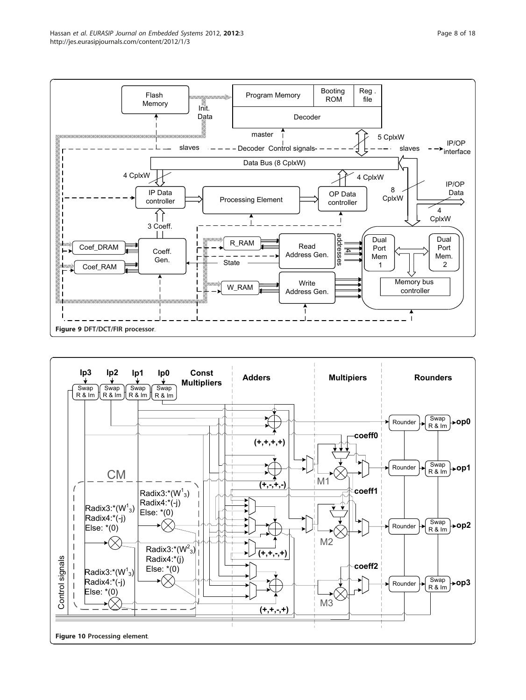<span id="page-7-0"></span>

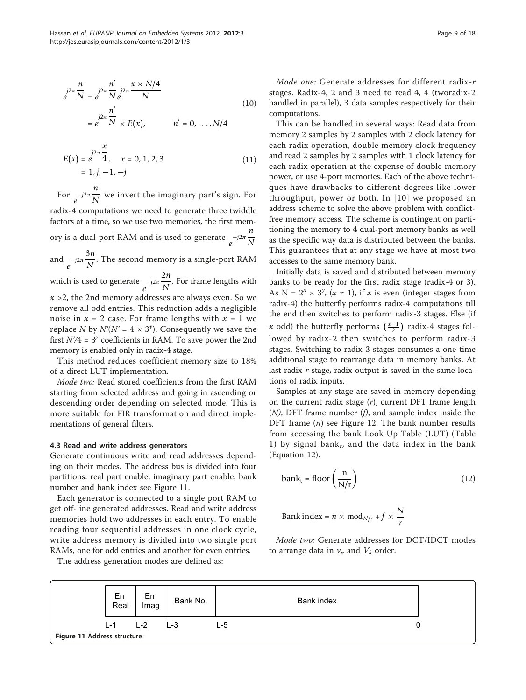$$
e^{j2\pi} \frac{n}{N} = e^{j2\pi} \frac{n'}{N} e^{j2\pi} \frac{x \times N/4}{N}
$$
  
=  $e^{j2\pi} \frac{n'}{N} \times E(x),$   $n' = 0, ..., N/4$  (10)

$$
E(x) = e^{j2\pi} \frac{x}{4}, \quad x = 0, 1, 2, 3
$$
  
= 1, j, -1, -j (11)

For  $e^{-j2\pi} \frac{n}{N}$  we invert the imaginary part's sign. For radix-4 computations we need to generate three twiddle factors at a time, so we use two memories, the first memory is a dual-port RAM and is used to generate  $e^{-j2\pi} \frac{n}{N}$ and *e* −*j*2π  $\frac{3n}{N}$ . The second memory is a single-port RAM which is used to generate *e* −*j*2π  $\frac{2n}{N}$ . For frame lengths with  $x > 2$ , the 2nd memory addresses are always even. So we remove all odd entries. This reduction adds a negligible noise in  $x = 2$  case. For frame lengths with  $x = 1$  we replace N by  $N'(N' = 4 \times 3^y)$ . Consequently we save the first  $N/4 = 3^y$  coefficients in RAM. To save power the 2nd memory is enabled only in radix-4 stage.

This method reduces coefficient memory size to 18% of a direct LUT implementation.

Mode two: Read stored coefficients from the first RAM starting from selected address and going in ascending or descending order depending on selected mode. This is more suitable for FIR transformation and direct implementations of general filters.

#### 4.3 Read and write address generators

Generate continuous write and read addresses depending on their modes. The address bus is divided into four partitions: real part enable, imaginary part enable, bank number and bank index see Figure 11.

Each generator is connected to a single port RAM to get off-line generated addresses. Read and write address memories hold two addresses in each entry. To enable reading four sequential addresses in one clock cycle, write address memory is divided into two single port RAMs, one for odd entries and another for even entries.

The address generation modes are defined as:

Mode one: Generate addresses for different radix-r stages. Radix-4, 2 and 3 need to read 4, 4 (tworadix-2 handled in parallel), 3 data samples respectively for their computations.

This can be handled in several ways: Read data from memory 2 samples by 2 samples with 2 clock latency for each radix operation, double memory clock frequency and read 2 samples by 2 samples with 1 clock latency for each radix operation at the expense of double memory power, or use 4-port memories. Each of the above techniques have drawbacks to different degrees like lower throughput, power or both. In [[10](#page-17-0)] we proposed an address scheme to solve the above problem with conflictfree memory access. The scheme is contingent on partitioning the memory to 4 dual-port memory banks as well as the specific way data is distributed between the banks. This guarantees that at any stage we have at most two accesses to the same memory bank.

Initially data is saved and distributed between memory banks to be ready for the first radix stage (radix-4 or 3). As N =  $2^x \times 3^y$ ,  $(x \ne 1)$ , if x is even (integer stages from radix-4) the butterfly performs radix-4 computations till the end then switches to perform radix-3 stages. Else (if *x* odd) the butterfly performs  $(\frac{x-1}{2})$  radix-4 stages followed by radix-2 then switches to perform radix-3 stages. Switching to radix-3 stages consumes a one-time additional stage to rearrange data in memory banks. At last radix-r stage, radix output is saved in the same locations of radix inputs.

Samples at any stage are saved in memory depending on the current radix stage  $(r)$ , current DFT frame length  $(N)$ , DFT frame number  $(f)$ , and sample index inside the DFT frame  $(n)$  see Figure [12.](#page-9-0) The bank number results from accessing the bank Look Up Table (LUT) (Table [1](#page-2-0)) by signal bank $_t$ , and the data index in the bank (Equation 12).

$$
bank_t = floor\left(\frac{n}{N/r}\right)
$$
 (12)

Bank index =  $n \times \text{mod}_{N/r} + f \times \frac{N}{r}$ 

Mode two: Generate addresses for DCT/IDCT modes to arrange data in  $v_n$  and  $V_k$  order.

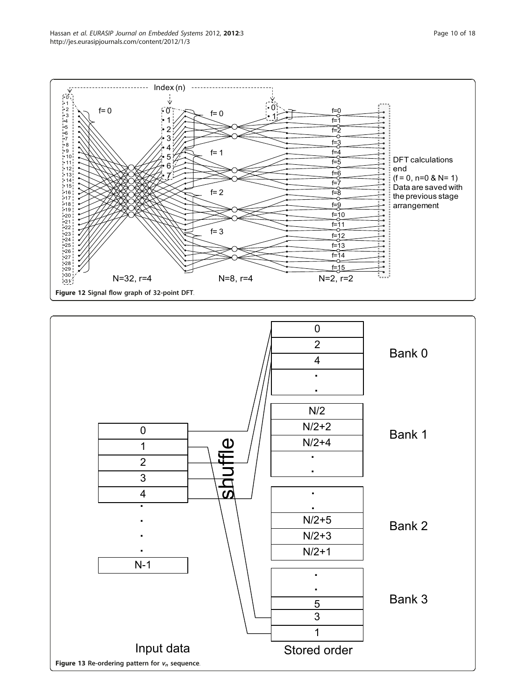<span id="page-9-0"></span>

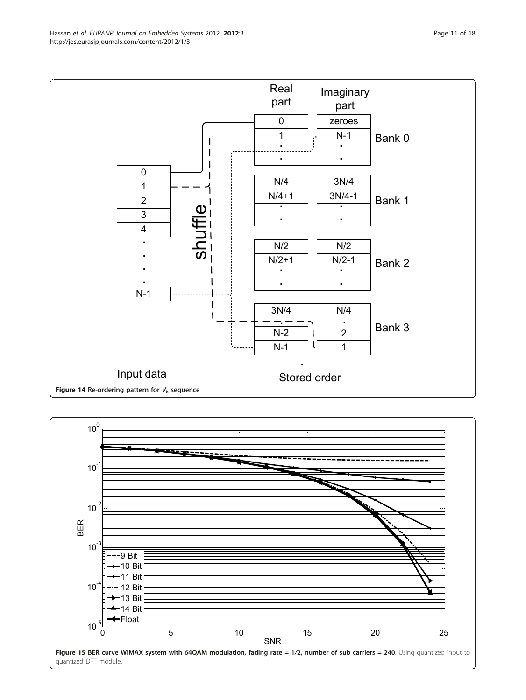<span id="page-10-0"></span>

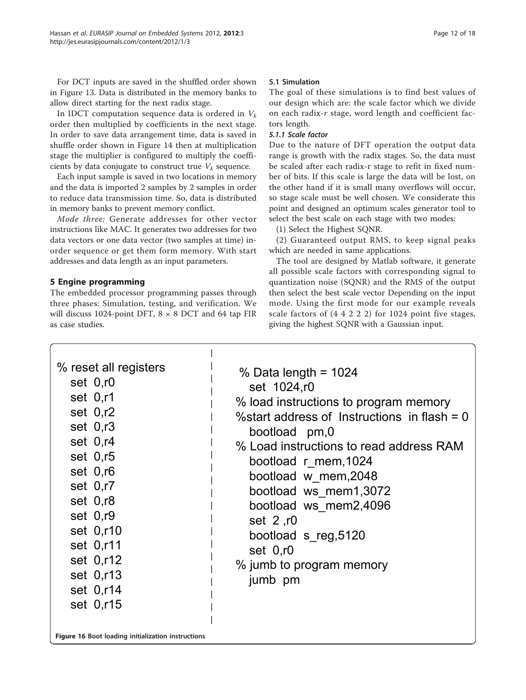<span id="page-11-0"></span>For DCT inputs are saved in the shuffled order shown in Figure [13.](#page-9-0) Data is distributed in the memory banks to allow direct starting for the next radix stage.

In IDCT computation sequence data is ordered in  $V_k$ order then multiplied by coefficients in the next stage. In order to save data arrangement time, data is saved in shuffle order shown in Figure [14](#page-10-0) then at multiplication stage the multiplier is configured to multiply the coefficients by data conjugate to construct true  $V_k$  sequence.

Each input sample is saved in two locations in memory and the data is imported 2 samples by 2 samples in order to reduce data transmission time. So, data is distributed in memory banks to prevent memory conflict.

Mode three: Generate addresses for other vector instructions like MAC. It generates two addresses for two data vectors or one data vector (two samples at time) inorder sequence or get them form memory. With start addresses and data length as an input parameters.

## 5 Engine programming

ſ

The embedded processor programming passes through three phases: Simulation, testing, and verification. We will discuss 1024-point DFT,  $8 \times 8$  DCT and 64 tap FIR as case studies.

#### 5.1 Simulation

The goal of these simulations is to find best values of our design which are: the scale factor which we divide on each radix-r stage, word length and coefficient factors length.

#### 5.1.1 Scale factor

Due to the nature of DFT operation the output data range is growth with the radix stages. So, the data must be scaled after each radix-r stage to refit in fixed number of bits. If this scale is large the data will be lost, on the other hand if it is small many overflows will occur, so stage scale must be well chosen. We considerate this point and designed an optimum scales generator tool to select the best scale on each stage with two modes:

(1) Select the Highest SQNR.

(2) Guaranteed output RMS, to keep signal peaks which are needed in same applications.

The tool are designed by Matlab software, it generate all possible scale factors with corresponding signal to quantization noise (SQNR) and the RMS of the output then select the best scale vector Depending on the input mode. Using the first mode for our example reveals scale factors of (4 4 2 2 2) for 1024 point five stages, giving the highest SQNR with a Gaussian input.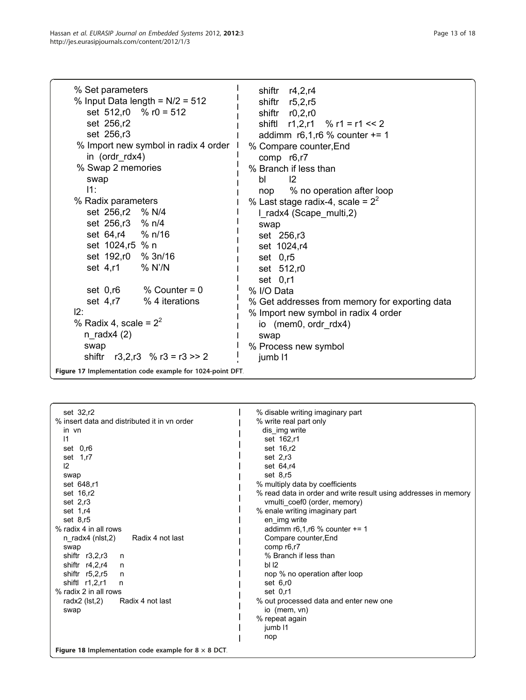```
% Set parameters
                                             \mathbf{I}shiftr r4,2,r4
    % Input Data length = N/2 = 512
                                                   shiftr r5,2,r5
       set 512,r0 % r0 = 512
                                                   shiftr r0,2,r0
       set 256,r2
                                                   shiftl r1,2,r1 % r1 = r1 \le 2set 256,r3
                                                   addimm r6.1.r6 % counter += 1% Import new symbol in radix 4 order |
                                                % Compare counter,End
       in (ordr_rdx4)
                                                   comp r6,r7
     % Swap 2 memories
                                                % Branch if less than
                                             \mathbf{I}swap
                                                   bl l2
                                             \mathbf{I}l1:
                                                   nop % no operation after loop
                                             \mathbf{I}% Radix parameters
                                                % Last stage radix-4, scale = 2^2\mathbf{I}set 256,r2 % N/4
                                             \overline{\phantom{a}}l_radx4 (Scape_multi,2)
       set 256,r3 % n/4
                                                   swap
       set 64,r4 % n/16
                                                   set 256,r3
       set 1024,r5 % n
                                                   set 1024,r4
       set 192,r0 % 3n/16
                                                   set 0,r5
       set 4,r1 % N'/N
                                                   set 512,r0
                                             \mathbf{I}\mathbf{I}set 0,r1
       set 0, r6 % Counter = 0
                                             \mathbf{I}% I/O Data
                                             -1
       set 4,r7 % 4 iterations
                                                % Get addresses from memory for exporting data
    12:% Import new symbol in radix 4 order
    % Radix 4, scale = 2^2io (mem0, ordr_rdx4)
       n_radx4 (2)
                                                   swap
       swap
                                                % Process new symbol
       shiftr r3,2,r3 % r3 = r3 >> 2
                                                   jumb l1
Figure 17 Implementation code example for 1024-point DFT.
```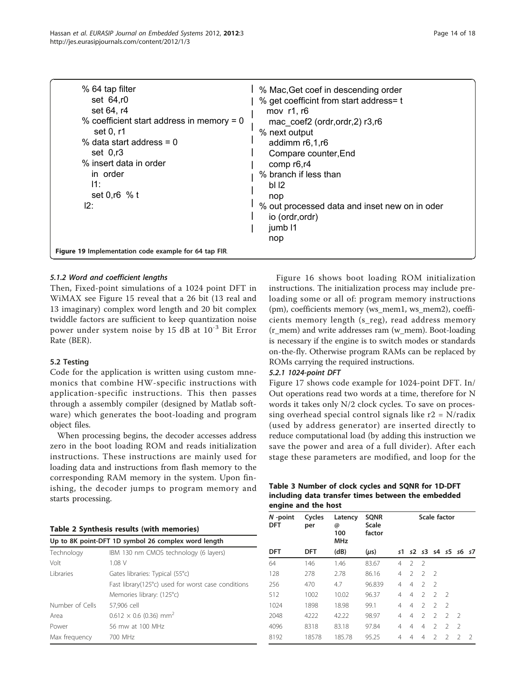<span id="page-13-0"></span>

| % 64 tap filter<br>set 64,r0<br>set 64, r4<br>% coefficient start address in memory = $0$<br>set 0, r1<br>% data start address = $0$<br>set $0,r3$<br>% insert data in order<br>in order<br>11:<br>set $0, r6 \% t$<br>12: | % Mac, Get coef in descending order<br>% get coefficint from start address= t<br>mov $r1$ , r $6$<br>mac coef2 (ordr, ordr, 2) r3, r6<br>% next output<br>addimm r6,1,r6<br>Compare counter, End<br>comp $r6,r4$<br>% branch if less than<br>$bl$ 12<br>nop<br>% out processed data and inset new on in oder<br>io (ordr, ordr)<br>jumb 11<br>nop |
|----------------------------------------------------------------------------------------------------------------------------------------------------------------------------------------------------------------------------|---------------------------------------------------------------------------------------------------------------------------------------------------------------------------------------------------------------------------------------------------------------------------------------------------------------------------------------------------|
| Figure 19 Implementation code example for 64 tap FIR.                                                                                                                                                                      |                                                                                                                                                                                                                                                                                                                                                   |

## 5.1.2 Word and coefficient lengths

Then, Fixed-point simulations of a 1024 point DFT in WiMAX see Figure [15](#page-10-0) reveal that a 26 bit (13 real and 13 imaginary) complex word length and 20 bit complex twiddle factors are sufficient to keep quantization noise power under system noise by 15 dB at 10<sup>-3</sup> Bit Error Rate (BER).

#### 5.2 Testing

Code for the application is written using custom mnemonics that combine HW-specific instructions with application-specific instructions. This then passes through a assembly compiler (designed by Matlab software) which generates the boot-loading and program object files.

When processing begins, the decoder accesses address zero in the boot loading ROM and reads initialization instructions. These instructions are mainly used for loading data and instructions from flash memory to the corresponding RAM memory in the system. Upon finishing, the decoder jumps to program memory and starts processing.

|  |  |  |  |  | Table 2 Synthesis results (with memories) |
|--|--|--|--|--|-------------------------------------------|
|--|--|--|--|--|-------------------------------------------|

|  | Up to 8K point-DFT 1D symbol 26 complex word length |  |  |  |
|--|-----------------------------------------------------|--|--|--|
|  |                                                     |  |  |  |

| Technology      | IBM 130 nm CMOS technology (6 layers)              |
|-----------------|----------------------------------------------------|
| Volt            | 1.08V                                              |
| Libraries       | Gates libraries: Typical (55°c)                    |
|                 | Fast library(125°c) used for worst case conditions |
|                 | Memories library: (125°c)                          |
| Number of Cells | 57,906 cell                                        |
| Area            | $0.612 \times 0.6$ (0.36) mm <sup>2</sup>          |
| Power           | 56 mw at 100 MHz                                   |
| Max frequency   | 700 MHz                                            |

Figure [16](#page-11-0) shows boot loading ROM initialization instructions. The initialization process may include preloading some or all of: program memory instructions (pm), coefficients memory (ws\_mem1, ws\_mem2), coefficients memory length (s\_reg), read address memory (r\_mem) and write addresses ram (w\_mem). Boot-loading is necessary if the engine is to switch modes or standards on-the-fly. Otherwise program RAMs can be replaced by ROMs carrying the required instructions.

#### 5.2.1 1024-point DFT

Figure [17](#page-12-0) shows code example for 1024-point DFT. In/ Out operations read two words at a time, therefore for N words it takes only N/2 clock cycles. To save on processing overhead special control signals like  $r2 = N/r$ adix (used by address generator) are inserted directly to reduce computational load (by adding this instruction we save the power and area of a full divider). After each stage these parameters are modified, and loop for the

| Table 3 Number of clock cycles and SQNR for 1D-DFT |
|----------------------------------------------------|
| including data transfer times between the embedded |
| engine and the host                                |

| $N$ -point<br><b>DFT</b> | Cycles<br>per | Latency<br>@<br>100<br><b>MHz</b> | <b>SQNR</b><br><b>Scale</b><br>factor |   |                |                      | Scale factor             |                |               |               |
|--------------------------|---------------|-----------------------------------|---------------------------------------|---|----------------|----------------------|--------------------------|----------------|---------------|---------------|
| <b>DFT</b>               | <b>DFT</b>    | (dB)                              | $(\mu s)$                             |   |                | s1 s2 s3 s4 s5 s6 s7 |                          |                |               |               |
| 64                       | 146           | 1.46                              | 83.67                                 | 4 | $\mathcal{L}$  | $\mathcal{L}$        |                          |                |               |               |
| 128                      | 278           | 2.78                              | 86.16                                 | 4 | $\mathcal{D}$  | $\mathfrak{D}$       | $\overline{\phantom{a}}$ |                |               |               |
| 256                      | 470           | 4.7                               | 96.839                                | 4 | 4              | $\mathfrak{D}$       | $\mathcal{P}$            |                |               |               |
| 512                      | 1002          | 10.02                             | 96.37                                 | 4 | $\overline{4}$ | $\mathfrak{D}$       | $\mathcal{P}$            | $\overline{2}$ |               |               |
| 1024                     | 1898          | 18.98                             | 99.1                                  | 4 | $\overline{4}$ | $\mathfrak{D}$       | $\mathfrak{D}$           | $\mathfrak{D}$ |               |               |
| 2048                     | 4222          | 42.22                             | 98.97                                 | 4 | 4              | $\overline{2}$       | $\mathfrak{D}$           | $\mathfrak{D}$ | $\mathcal{L}$ |               |
| 4096                     | 8318          | 83.18                             | 97.84                                 | 4 | $\overline{4}$ | 4                    | $\mathfrak{D}$           | $\mathfrak{D}$ | $\mathcal{P}$ |               |
| 8192                     | 18578         | 185.78                            | 95.25                                 | 4 | 4              | 4                    | $\mathfrak{D}$           | $\mathcal{P}$  | $\mathcal{P}$ | $\mathcal{P}$ |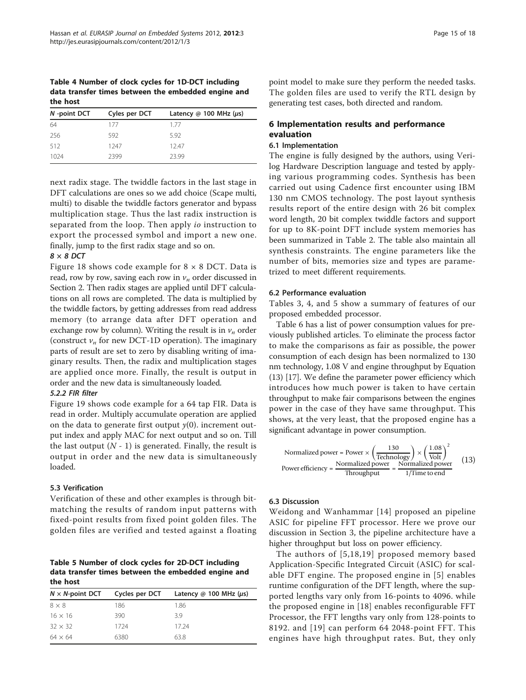Table 4 Number of clock cycles for 1D-DCT including data transfer times between the embedded engine and the host

| N -point DCT | Cyles per DCT | Latency @ 100 MHz $(\mu s)$ |
|--------------|---------------|-----------------------------|
| 64           | 177           | 177                         |
| 256          | 592           | 5.92                        |
| 512          | 1247          | 1247                        |
| 1024         | 2399          | 23.99                       |

next radix stage. The twiddle factors in the last stage in DFT calculations are ones so we add choice (Scape multi, multi) to disable the twiddle factors generator and bypass multiplication stage. Thus the last radix instruction is separated from the loop. Then apply io instruction to export the processed symbol and import a new one. finally, jump to the first radix stage and so on.

#### $8 \times 8$  DCT

Figure [18](#page-12-0) shows code example for  $8 \times 8$  DCT. Data is read, row by row, saving each row in  $v_n$  order discussed in Section 2. Then radix stages are applied until DFT calculations on all rows are completed. The data is multiplied by the twiddle factors, by getting addresses from read address memory (to arrange data after DFT operation and exchange row by column). Writing the result is in  $v_n$  order (construct  $v_n$  for new DCT-1D operation). The imaginary parts of result are set to zero by disabling writing of imaginary results. Then, the radix and multiplication stages are applied once more. Finally, the result is output in order and the new data is simultaneously loaded.

#### 5.2.2 FIR filter

Figure [19](#page-13-0) shows code example for a 64 tap FIR. Data is read in order. Multiply accumulate operation are applied on the data to generate first output  $y(0)$ . increment output index and apply MAC for next output and so on. Till the last output  $(N - 1)$  is generated. Finally, the result is output in order and the new data is simultaneously loaded.

#### 5.3 Verification

Verification of these and other examples is through bitmatching the results of random input patterns with fixed-point results from fixed point golden files. The golden files are verified and tested against a floating

Table 5 Number of clock cycles for 2D-DCT including data transfer times between the embedded engine and the host

| $N \times N$ -point DCT | Cycles per DCT | Latency @ 100 MHz $(\mu s)$ |  |  |  |
|-------------------------|----------------|-----------------------------|--|--|--|
| $8 \times 8$            | 186            | 1.86                        |  |  |  |
| $16 \times 16$          | 390            | 39                          |  |  |  |
| $32 \times 32$          | 1724           | 1724                        |  |  |  |
| $64 \times 64$          | 6380           | 63.8                        |  |  |  |

point model to make sure they perform the needed tasks. The golden files are used to verify the RTL design by generating test cases, both directed and random.

# 6 Implementation results and performance evaluation

# 6.1 Implementation

The engine is fully designed by the authors, using Verilog Hardware Description language and tested by applying various programming codes. Synthesis has been carried out using Cadence first encounter using IBM 130 nm CMOS technology. The post layout synthesis results report of the entire design with 26 bit complex word length, 20 bit complex twiddle factors and support for up to 8K-point DFT include system memories has been summarized in Table [2.](#page-13-0) The table also maintain all synthesis constraints. The engine parameters like the number of bits, memories size and types are parametrized to meet different requirements.

#### 6.2 Performance evaluation

Tables [3](#page-13-0), 4, and 5 show a summary of features of our proposed embedded processor.

Table [6](#page-15-0) has a list of power consumption values for previously published articles. To eliminate the process factor to make the comparisons as fair as possible, the power consumption of each design has been normalized to 130 nm technology, 1.08 V and engine throughput by Equation (13) [\[17](#page-17-0)]. We define the parameter power efficiency which introduces how much power is taken to have certain throughput to make fair comparisons between the engines power in the case of they have same throughput. This shows, at the very least, that the proposed engine has a significant advantage in power consumption.

Normalized power = Power × 
$$
\left(\frac{130}{\text{Technology}}\right) \times \left(\frac{1.08}{\text{Volt}}\right)^2
$$
  
Power efficiency =  $\frac{\text{Normalized power}}{\text{Throughout}} = \frac{\text{Normalized power}}{1/\text{Time to end}}$  (13)

#### 6.3 Discussion

Weidong and Wanhammar [[14](#page-17-0)] proposed an pipeline ASIC for pipeline FFT processor. Here we prove our discussion in Section 3, the pipeline architecture have a higher throughput but loss on power efficiency.

The authors of [[5,18](#page-17-0),[19\]](#page-17-0) proposed memory based Application-Specific Integrated Circuit (ASIC) for scalable DFT engine. The proposed engine in [[5\]](#page-17-0) enables runtime configuration of the DFT length, where the supported lengths vary only from 16-points to 4096. while the proposed engine in [[18\]](#page-17-0) enables reconfigurable FFT Processor, the FFT lengths vary only from 128-points to 8192. and [[19](#page-17-0)] can perform 64 2048-point FFT. This engines have high throughput rates. But, they only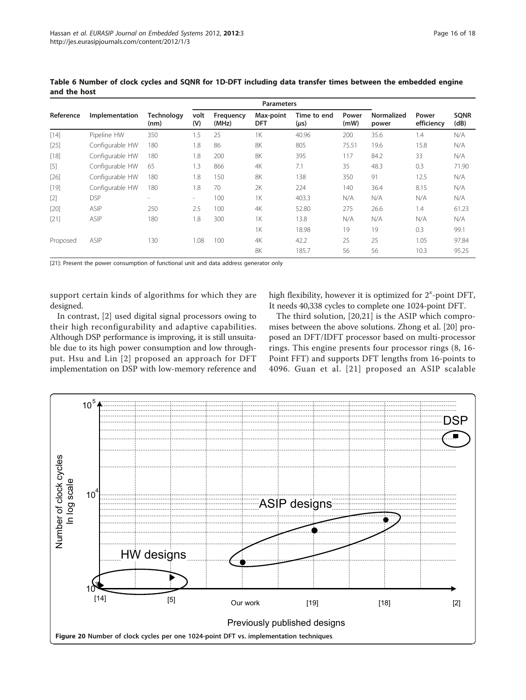|           |                 |                           | <b>Parameters</b> |                    |                         |                          |               |                     |                     |                     |
|-----------|-----------------|---------------------------|-------------------|--------------------|-------------------------|--------------------------|---------------|---------------------|---------------------|---------------------|
| Reference | Implementation  | <b>Technology</b><br>(nm) | volt<br>(V)       | Frequency<br>(MHz) | Max-point<br><b>DFT</b> | Time to end<br>$(\mu s)$ | Power<br>(mW) | Normalized<br>power | Power<br>efficiency | <b>SQNR</b><br>(dB) |
| $[14]$    | Pipeline HW     | 350                       | 1.5               | 25                 | 1K                      | 40.96                    | 200           | 35.6                | 1.4                 | N/A                 |
| $[25]$    | Configurable HW | 180                       | 1.8               | 86                 | 8K                      | 805                      | 75.51         | 19.6                | 15.8                | N/A                 |
| $[18]$    | Configurable HW | 180                       | 1.8               | 200                | 8K                      | 395                      | 117           | 84.2                | 33                  | N/A                 |
| $[5]$     | Configurable HW | 65                        | l.3               | 866                | 4K                      | 7.1                      | 35            | 48.3                | 0.3                 | 71.90               |
| $[26]$    | Configurable HW | 180                       | 8.1               | 150                | 8K                      | 138                      | 350           | 91                  | 12.5                | N/A                 |
| $[19]$    | Configurable HW | 180                       | 1.8               | 70                 | 2K                      | 224                      | 140           | 36.4                | 8.15                | N/A                 |
| $[2]$     | <b>DSP</b>      | ۰                         | $\sim$            | 100                | 1K                      | 403.3                    | N/A           | N/A                 | N/A                 | N/A                 |
| $[20]$    | ASIP            | 250                       | 2.5               | 100                | 4K                      | 52.80                    | 275           | 26.6                | 1.4                 | 61.23               |
| $[21]$    | ASIP            | 180                       | 1.8               | 300                | 1K                      | 13.8                     | N/A           | N/A                 | N/A                 | N/A                 |
|           |                 |                           |                   |                    | 1K                      | 18.98                    | 19            | 19                  | 0.3                 | 99.1                |
| Proposed  | ASIP            | 130                       | 1.08              | 100                | 4K                      | 42.2                     | 25            | 25                  | 1.05                | 97.84               |
|           |                 |                           |                   |                    | 8K                      | 185.7                    | 56            | 56                  | 10.3                | 95.25               |

<span id="page-15-0"></span>Table 6 Number of clock cycles and SQNR for 1D-DFT including data transfer times between the embedded engine and the host

[[21\]](#page-17-0): Present the power consumption of functional unit and data address generator only

support certain kinds of algorithms for which they are designed.

high flexibility, however it is optimized for  $2<sup>x</sup>$ -point DFT, It needs 40,338 cycles to complete one 1024-point DFT.

In contrast, [[2\]](#page-16-0) used digital signal processors owing to their high reconfigurability and adaptive capabilities. Although DSP performance is improving, it is still unsuitable due to its high power consumption and low throughput. Hsu and Lin [[2](#page-16-0)] proposed an approach for DFT implementation on DSP with low-memory reference and

The third solution, [\[20](#page-17-0),[21\]](#page-17-0) is the ASIP which compromises between the above solutions. Zhong et al. [\[20](#page-17-0)] proposed an DFT/IDFT processor based on multi-processor rings. This engine presents four processor rings (8, 16- Point FFT) and supports DFT lengths from 16-points to 4096. Guan et al. [[21\]](#page-17-0) proposed an ASIP scalable

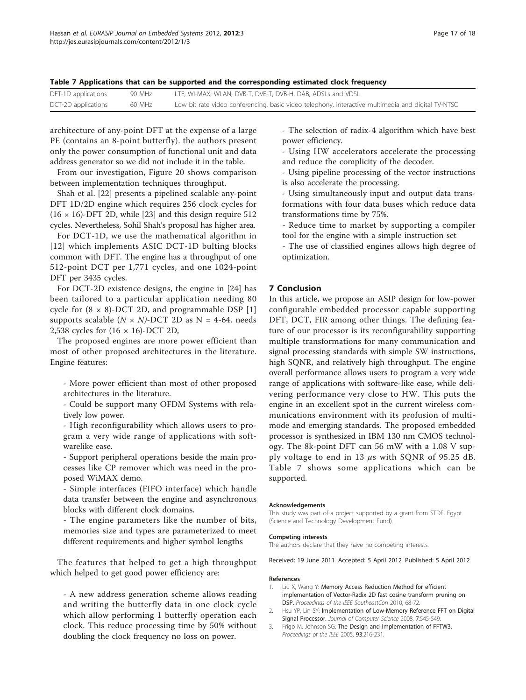<span id="page-16-0"></span>Table 7 Applications that can be supported and the corresponding estimated clock frequency

| DFT-1D applications | 90 MHz | LTE, WI-MAX, WLAN, DVB-T, DVB-T, DVB-H, DAB, ADSLs and VDSL                                        |
|---------------------|--------|----------------------------------------------------------------------------------------------------|
| DCT-2D applications | 60 MHz | Low bit rate video conferencing, basic video telephony, interactive multimedia and digital TV-NTSC |

architecture of any-point DFT at the expense of a large PE (contains an 8-point butterfly). the authors present only the power consumption of functional unit and data address generator so we did not include it in the table.

From our investigation, Figure [20](#page-15-0) shows comparison between implementation techniques throughput.

Shah et al. [[22\]](#page-17-0) presents a pipelined scalable any-point DFT 1D/2D engine which requires 256 clock cycles for  $(16 \times 16)$ -DFT 2D, while [[23\]](#page-17-0) and this design require 512 cycles. Nevertheless, Sohil Shah's proposal has higher area.

For DCT-1D, we use the mathematical algorithm in [[12\]](#page-17-0) which implements ASIC DCT-1D bulting blocks common with DFT. The engine has a throughput of one 512-point DCT per 1,771 cycles, and one 1024-point DFT per 3435 cycles.

For DCT-2D existence designs, the engine in [\[24](#page-17-0)] has been tailored to a particular application needing 80 cycle for  $(8 \times 8)$ -DCT 2D, and programmable DSP [1] supports scalable  $(N \times N)$ -DCT 2D as N = 4-64. needs 2,538 cycles for  $(16 \times 16)$ -DCT 2D,

The proposed engines are more power efficient than most of other proposed architectures in the literature. Engine features:

- More power efficient than most of other proposed architectures in the literature.

- Could be support many OFDM Systems with relatively low power.

- High reconfigurability which allows users to program a very wide range of applications with softwarelike ease.

- Support peripheral operations beside the main processes like CP remover which was need in the proposed WiMAX demo.

- Simple interfaces (FIFO interface) which handle data transfer between the engine and asynchronous blocks with different clock domains.

- The engine parameters like the number of bits, memories size and types are parameterized to meet different requirements and higher symbol lengths

The features that helped to get a high throughput which helped to get good power efficiency are:

- A new address generation scheme allows reading and writing the butterfly data in one clock cycle which allow performing 1 butterfly operation each clock. This reduce processing time by 50% without doubling the clock frequency no loss on power.

- The selection of radix-4 algorithm which have best power efficiency.

- Using HW accelerators accelerate the processing and reduce the complicity of the decoder.

- Using pipeline processing of the vector instructions is also accelerate the processing.

- Using simultaneously input and output data transformations with four data buses which reduce data transformations time by 75%.

- Reduce time to market by supporting a compiler tool for the engine with a simple instruction set

- The use of classified engines allows high degree of optimization.

# 7 Conclusion

In this article, we propose an ASIP design for low-power configurable embedded processor capable supporting DFT, DCT, FIR among other things. The defining feature of our processor is its reconfigurability supporting multiple transformations for many communication and signal processing standards with simple SW instructions, high SQNR, and relatively high throughput. The engine overall performance allows users to program a very wide range of applications with software-like ease, while delivering performance very close to HW. This puts the engine in an excellent spot in the current wireless communications environment with its profusion of multimode and emerging standards. The proposed embedded processor is synthesized in IBM 130 nm CMOS technology. The 8k-point DFT can 56 mW with a 1.08 V supply voltage to end in 13  $\mu$ s with SQNR of 95.25 dB. Table 7 shows some applications which can be supported.

#### Acknowledgements

This study was part of a project supported by a grant from STDF, Egypt (Science and Technology Development Fund).

#### Competing interests

The authors declare that they have no competing interests.

Received: 19 June 2011 Accepted: 5 April 2012 Published: 5 April 2012

#### References

- Liu X, Wang Y: Memory Access Reduction Method for efficient implementation of Vector-Radix 2D fast cosine transform pruning on DSP. Proceedings of the IEEE SoutheastCon 2010, 68-72.
- 2. Hsu YP, Lin SY: Implementation of Low-Memory Reference FFT on Digital Signal Processor. Journal of Computer Science 2008, 7:545-549.
- 3. Frigo M, Johnson SG: The Design and Implementation of FFTW3. Proceedings of the IEEE 2005, 93:216-231.